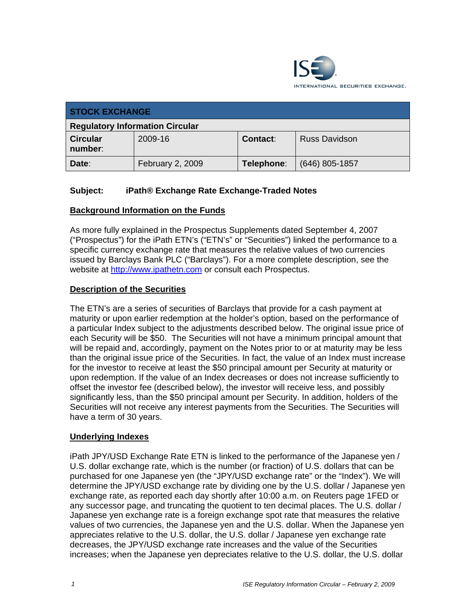

| <b>STOCK EXCHANGE</b>                  |                  |                 |                      |
|----------------------------------------|------------------|-----------------|----------------------|
| <b>Regulatory Information Circular</b> |                  |                 |                      |
| <b>Circular</b><br>number:             | 2009-16          | <b>Contact:</b> | <b>Russ Davidson</b> |
| Date:                                  | February 2, 2009 | Telephone:      | $(646)$ 805-1857     |

## **Subject: iPath® Exchange Rate Exchange-Traded Notes**

#### **Background Information on the Funds**

As more fully explained in the Prospectus Supplements dated September 4, 2007 ("Prospectus") for the iPath ETN's ("ETN's" or "Securities") linked the performance to a specific currency exchange rate that measures the relative values of two currencies issued by Barclays Bank PLC ("Barclays"). For a more complete description, see the website at http://www.ipathetn.com or consult each Prospectus.

#### **Description of the Securities**

The ETN's are a series of securities of Barclays that provide for a cash payment at maturity or upon earlier redemption at the holder's option, based on the performance of a particular Index subject to the adjustments described below. The original issue price of each Security will be \$50. The Securities will not have a minimum principal amount that will be repaid and, accordingly, payment on the Notes prior to or at maturity may be less than the original issue price of the Securities. In fact, the value of an Index must increase for the investor to receive at least the \$50 principal amount per Security at maturity or upon redemption. If the value of an Index decreases or does not increase sufficiently to offset the investor fee (described below), the investor will receive less, and possibly significantly less, than the \$50 principal amount per Security. In addition, holders of the Securities will not receive any interest payments from the Securities. The Securities will have a term of 30 years.

#### **Underlying Indexes**

iPath JPY/USD Exchange Rate ETN is linked to the performance of the Japanese yen / U.S. dollar exchange rate, which is the number (or fraction) of U.S. dollars that can be purchased for one Japanese yen (the "JPY/USD exchange rate" or the "Index"). We will determine the JPY/USD exchange rate by dividing one by the U.S. dollar / Japanese yen exchange rate, as reported each day shortly after 10:00 a.m. on Reuters page 1FED or any successor page, and truncating the quotient to ten decimal places. The U.S. dollar / Japanese yen exchange rate is a foreign exchange spot rate that measures the relative values of two currencies, the Japanese yen and the U.S. dollar. When the Japanese yen appreciates relative to the U.S. dollar, the U.S. dollar / Japanese yen exchange rate decreases, the JPY/USD exchange rate increases and the value of the Securities increases; when the Japanese yen depreciates relative to the U.S. dollar, the U.S. dollar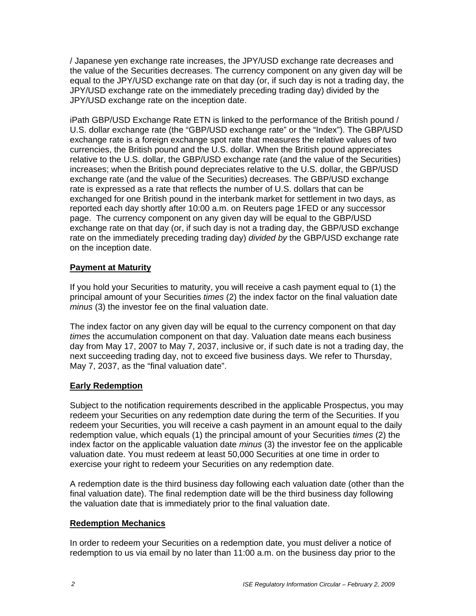/ Japanese yen exchange rate increases, the JPY/USD exchange rate decreases and the value of the Securities decreases. The currency component on any given day will be equal to the JPY/USD exchange rate on that day (or, if such day is not a trading day, the JPY/USD exchange rate on the immediately preceding trading day) divided by the JPY/USD exchange rate on the inception date.

iPath GBP/USD Exchange Rate ETN is linked to the performance of the British pound / U.S. dollar exchange rate (the "GBP/USD exchange rate" or the "Index"). The GBP/USD exchange rate is a foreign exchange spot rate that measures the relative values of two currencies, the British pound and the U.S. dollar. When the British pound appreciates relative to the U.S. dollar, the GBP/USD exchange rate (and the value of the Securities) increases; when the British pound depreciates relative to the U.S. dollar, the GBP/USD exchange rate (and the value of the Securities) decreases. The GBP/USD exchange rate is expressed as a rate that reflects the number of U.S. dollars that can be exchanged for one British pound in the interbank market for settlement in two days, as reported each day shortly after 10:00 a.m. on Reuters page 1FED or any successor page. The currency component on any given day will be equal to the GBP/USD exchange rate on that day (or, if such day is not a trading day, the GBP/USD exchange rate on the immediately preceding trading day) *divided by* the GBP/USD exchange rate on the inception date.

#### **Payment at Maturity**

If you hold your Securities to maturity, you will receive a cash payment equal to (1) the principal amount of your Securities *times* (2) the index factor on the final valuation date *minus* (3) the investor fee on the final valuation date.

The index factor on any given day will be equal to the currency component on that day *times* the accumulation component on that day. Valuation date means each business day from May 17, 2007 to May 7, 2037, inclusive or, if such date is not a trading day, the next succeeding trading day, not to exceed five business days. We refer to Thursday, May 7, 2037, as the "final valuation date".

# **Early Redemption**

Subject to the notification requirements described in the applicable Prospectus, you may redeem your Securities on any redemption date during the term of the Securities. If you redeem your Securities, you will receive a cash payment in an amount equal to the daily redemption value, which equals (1) the principal amount of your Securities *times* (2) the index factor on the applicable valuation date *minus* (3) the investor fee on the applicable valuation date. You must redeem at least 50,000 Securities at one time in order to exercise your right to redeem your Securities on any redemption date.

A redemption date is the third business day following each valuation date (other than the final valuation date). The final redemption date will be the third business day following the valuation date that is immediately prior to the final valuation date.

#### **Redemption Mechanics**

In order to redeem your Securities on a redemption date, you must deliver a notice of redemption to us via email by no later than 11:00 a.m. on the business day prior to the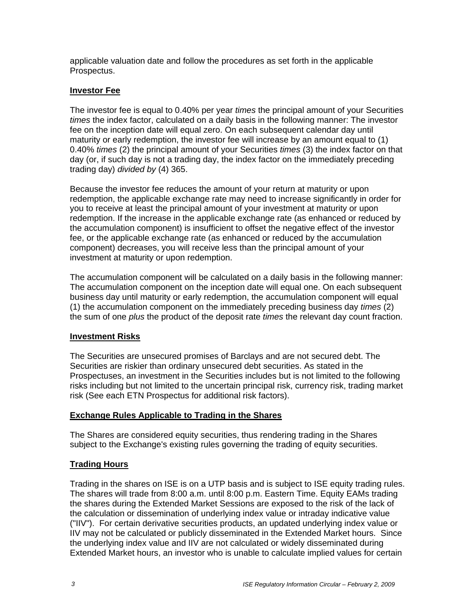applicable valuation date and follow the procedures as set forth in the applicable Prospectus.

### **Investor Fee**

The investor fee is equal to 0.40% per year *times* the principal amount of your Securities *times* the index factor, calculated on a daily basis in the following manner: The investor fee on the inception date will equal zero. On each subsequent calendar day until maturity or early redemption, the investor fee will increase by an amount equal to (1) 0.40% *times* (2) the principal amount of your Securities *times* (3) the index factor on that day (or, if such day is not a trading day, the index factor on the immediately preceding trading day) *divided by* (4) 365.

Because the investor fee reduces the amount of your return at maturity or upon redemption, the applicable exchange rate may need to increase significantly in order for you to receive at least the principal amount of your investment at maturity or upon redemption. If the increase in the applicable exchange rate (as enhanced or reduced by the accumulation component) is insufficient to offset the negative effect of the investor fee, or the applicable exchange rate (as enhanced or reduced by the accumulation component) decreases, you will receive less than the principal amount of your investment at maturity or upon redemption.

The accumulation component will be calculated on a daily basis in the following manner: The accumulation component on the inception date will equal one. On each subsequent business day until maturity or early redemption, the accumulation component will equal (1) the accumulation component on the immediately preceding business day *times* (2) the sum of one *plus* the product of the deposit rate *times* the relevant day count fraction.

#### **Investment Risks**

The Securities are unsecured promises of Barclays and are not secured debt. The Securities are riskier than ordinary unsecured debt securities. As stated in the Prospectuses, an investment in the Securities includes but is not limited to the following risks including but not limited to the uncertain principal risk, currency risk, trading market risk (See each ETN Prospectus for additional risk factors).

#### **Exchange Rules Applicable to Trading in the Shares**

The Shares are considered equity securities, thus rendering trading in the Shares subject to the Exchange's existing rules governing the trading of equity securities.

# **Trading Hours**

Trading in the shares on ISE is on a UTP basis and is subject to ISE equity trading rules. The shares will trade from 8:00 a.m. until 8:00 p.m. Eastern Time. Equity EAMs trading the shares during the Extended Market Sessions are exposed to the risk of the lack of the calculation or dissemination of underlying index value or intraday indicative value ("IIV"). For certain derivative securities products, an updated underlying index value or IIV may not be calculated or publicly disseminated in the Extended Market hours. Since the underlying index value and IIV are not calculated or widely disseminated during Extended Market hours, an investor who is unable to calculate implied values for certain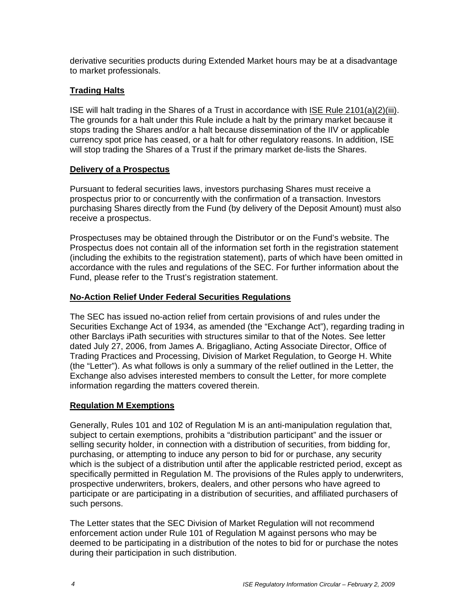derivative securities products during Extended Market hours may be at a disadvantage to market professionals.

# **Trading Halts**

ISE will halt trading in the Shares of a Trust in accordance with ISE Rule 2101(a)(2)(iii). The grounds for a halt under this Rule include a halt by the primary market because it stops trading the Shares and/or a halt because dissemination of the IIV or applicable currency spot price has ceased, or a halt for other regulatory reasons. In addition, ISE will stop trading the Shares of a Trust if the primary market de-lists the Shares.

#### **Delivery of a Prospectus**

Pursuant to federal securities laws, investors purchasing Shares must receive a prospectus prior to or concurrently with the confirmation of a transaction. Investors purchasing Shares directly from the Fund (by delivery of the Deposit Amount) must also receive a prospectus.

Prospectuses may be obtained through the Distributor or on the Fund's website. The Prospectus does not contain all of the information set forth in the registration statement (including the exhibits to the registration statement), parts of which have been omitted in accordance with the rules and regulations of the SEC. For further information about the Fund, please refer to the Trust's registration statement.

## **No-Action Relief Under Federal Securities Regulations**

The SEC has issued no-action relief from certain provisions of and rules under the Securities Exchange Act of 1934, as amended (the "Exchange Act"), regarding trading in other Barclays iPath securities with structures similar to that of the Notes. See letter dated July 27, 2006, from James A. Brigagliano, Acting Associate Director, Office of Trading Practices and Processing, Division of Market Regulation, to George H. White (the "Letter"). As what follows is only a summary of the relief outlined in the Letter, the Exchange also advises interested members to consult the Letter, for more complete information regarding the matters covered therein.

#### **Regulation M Exemptions**

Generally, Rules 101 and 102 of Regulation M is an anti-manipulation regulation that, subject to certain exemptions, prohibits a "distribution participant" and the issuer or selling security holder, in connection with a distribution of securities, from bidding for, purchasing, or attempting to induce any person to bid for or purchase, any security which is the subject of a distribution until after the applicable restricted period, except as specifically permitted in Regulation M. The provisions of the Rules apply to underwriters, prospective underwriters, brokers, dealers, and other persons who have agreed to participate or are participating in a distribution of securities, and affiliated purchasers of such persons.

The Letter states that the SEC Division of Market Regulation will not recommend enforcement action under Rule 101 of Regulation M against persons who may be deemed to be participating in a distribution of the notes to bid for or purchase the notes during their participation in such distribution.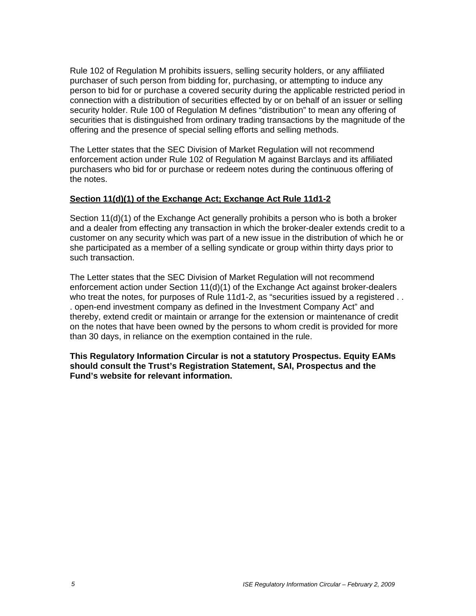Rule 102 of Regulation M prohibits issuers, selling security holders, or any affiliated purchaser of such person from bidding for, purchasing, or attempting to induce any person to bid for or purchase a covered security during the applicable restricted period in connection with a distribution of securities effected by or on behalf of an issuer or selling security holder. Rule 100 of Regulation M defines "distribution" to mean any offering of securities that is distinguished from ordinary trading transactions by the magnitude of the offering and the presence of special selling efforts and selling methods.

The Letter states that the SEC Division of Market Regulation will not recommend enforcement action under Rule 102 of Regulation M against Barclays and its affiliated purchasers who bid for or purchase or redeem notes during the continuous offering of the notes.

#### **Section 11(d)(1) of the Exchange Act; Exchange Act Rule 11d1-2**

Section 11(d)(1) of the Exchange Act generally prohibits a person who is both a broker and a dealer from effecting any transaction in which the broker-dealer extends credit to a customer on any security which was part of a new issue in the distribution of which he or she participated as a member of a selling syndicate or group within thirty days prior to such transaction.

The Letter states that the SEC Division of Market Regulation will not recommend enforcement action under Section 11(d)(1) of the Exchange Act against broker-dealers who treat the notes, for purposes of Rule 11d1-2, as "securities issued by a registered . . . open-end investment company as defined in the Investment Company Act" and thereby, extend credit or maintain or arrange for the extension or maintenance of credit on the notes that have been owned by the persons to whom credit is provided for more than 30 days, in reliance on the exemption contained in the rule.

**This Regulatory Information Circular is not a statutory Prospectus. Equity EAMs should consult the Trust's Registration Statement, SAI, Prospectus and the Fund's website for relevant information.**